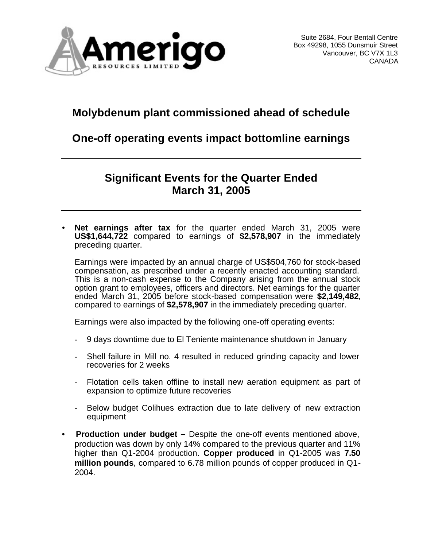

# **Molybdenum plant commissioned ahead of schedule**

# **One-off operating events impact bottomline earnings**

# **Significant Events for the Quarter Ended March 31, 2005**

• **Net earnings after tax** for the quarter ended March 31, 2005 were **US\$1,644,722** compared to earnings of **\$2,578,907** in the immediately preceding quarter.

Earnings were impacted by an annual charge of US\$504,760 for stock-based compensation, as prescribed under a recently enacted accounting standard. This is a non-cash expense to the Company arising from the annual stock option grant to employees, officers and directors. Net earnings for the quarter ended March 31, 2005 before stock-based compensation were **\$2,149,482**, compared to earnings of **\$2,578,907** in the immediately preceding quarter.

Earnings were also impacted by the following one-off operating events:

- 9 days downtime due to El Teniente maintenance shutdown in January
- Shell failure in Mill no. 4 resulted in reduced grinding capacity and lower recoveries for 2 weeks
- Flotation cells taken offline to install new aeration equipment as part of expansion to optimize future recoveries
- Below budget Colihues extraction due to late delivery of new extraction equipment
- • **Production under budget –** Despite the one-off events mentioned above, production was down by only 14% compared to the previous quarter and 11% higher than Q1-2004 production. **Copper produced** in Q1-2005 was **7.50 million pounds**, compared to 6.78 million pounds of copper produced in Q1- 2004.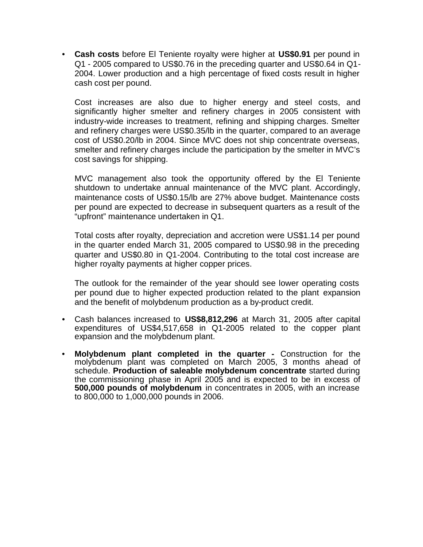• **Cash costs** before El Teniente royalty were higher at **US\$0.91** per pound in Q1 - 2005 compared to US\$0.76 in the preceding quarter and US\$0.64 in Q1- 2004. Lower production and a high percentage of fixed costs result in higher cash cost per pound.

Cost increases are also due to higher energy and steel costs, and significantly higher smelter and refinery charges in 2005 consistent with industry-wide increases to treatment, refining and shipping charges. Smelter and refinery charges were US\$0.35/lb in the quarter, compared to an average cost of US\$0.20/lb in 2004. Since MVC does not ship concentrate overseas, smelter and refinery charges include the participation by the smelter in MVC's cost savings for shipping.

MVC management also took the opportunity offered by the El Teniente shutdown to undertake annual maintenance of the MVC plant. Accordingly, maintenance costs of US\$0.15/lb are 27% above budget. Maintenance costs per pound are expected to decrease in subsequent quarters as a result of the "upfront" maintenance undertaken in Q1.

Total costs after royalty, depreciation and accretion were US\$1.14 per pound in the quarter ended March 31, 2005 compared to US\$0.98 in the preceding quarter and US\$0.80 in Q1-2004. Contributing to the total cost increase are higher royalty payments at higher copper prices.

The outlook for the remainder of the year should see lower operating costs per pound due to higher expected production related to the plant expansion and the benefit of molybdenum production as a by-product credit.

- Cash balances increased to **US\$8,812,296** at March 31, 2005 after capital expenditures of US\$4,517,658 in Q1-2005 related to the copper plant expansion and the molybdenum plant.
- **Molybdenum plant completed in the quarter -** Construction for the molybdenum plant was completed on March 2005, 3 months ahead of schedule. **Production of saleable molybdenum concentrate** started during the commissioning phase in April 2005 and is expected to be in excess of **500,000 pounds of molybdenum** in concentrates in 2005, with an increase to 800,000 to 1,000,000 pounds in 2006.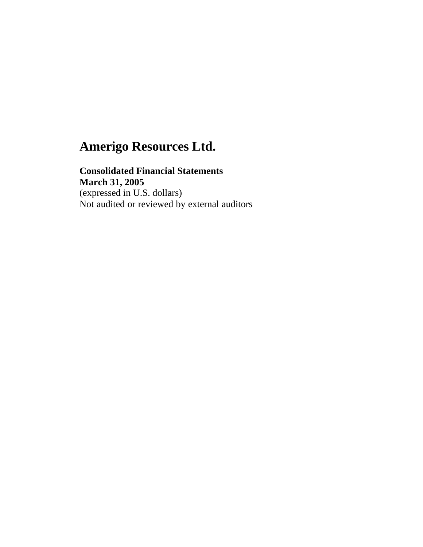### **Consolidated Financial Statements March 31, 2005** (expressed in U.S. dollars) Not audited or reviewed by external auditors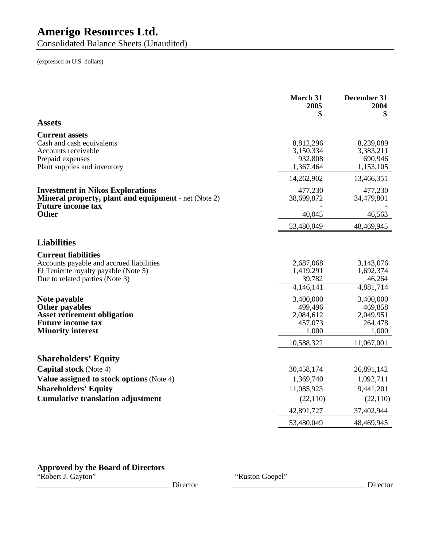Consolidated Balance Sheets (Unaudited)

(expressed in U.S. dollars)

|                                                                                                                                                   | March 31<br>2005<br>\$                                | December 31<br>2004<br>\$                             |
|---------------------------------------------------------------------------------------------------------------------------------------------------|-------------------------------------------------------|-------------------------------------------------------|
| <b>Assets</b>                                                                                                                                     |                                                       |                                                       |
| <b>Current assets</b><br>Cash and cash equivalents<br>Accounts receivable<br>Prepaid expenses<br>Plant supplies and inventory                     | 8,812,296<br>3,150,334<br>932,808<br>1,367,464        | 8,239,089<br>3,383,211<br>690,946<br>1,153,105        |
|                                                                                                                                                   | 14,262,902                                            | 13,466,351                                            |
| <b>Investment in Nikos Explorations</b><br><b>Mineral property, plant and equipment</b> - net (Note 2)<br><b>Future income tax</b>                | 477,230<br>38,699,872                                 | 477,230<br>34,479,801                                 |
| <b>Other</b>                                                                                                                                      | 40,045                                                | 46,563                                                |
|                                                                                                                                                   | 53,480,049                                            | 48,469,945                                            |
| <b>Liabilities</b>                                                                                                                                |                                                       |                                                       |
| <b>Current liabilities</b><br>Accounts payable and accrued liabilities<br>El Teniente royalty payable (Note 5)<br>Due to related parties (Note 3) | 2,687,068<br>1,419,291<br>39,782<br>4,146,141         | 3,143,076<br>1,692,374<br>46,264<br>4,881,714         |
| Note payable<br><b>Other payables</b><br><b>Asset retirement obligation</b><br><b>Future income tax</b><br><b>Minority interest</b>               | 3,400,000<br>499,496<br>2,084,612<br>457,073<br>1,000 | 3,400,000<br>469,858<br>2,049,951<br>264,478<br>1,000 |
|                                                                                                                                                   | 10,588,322                                            | 11,067,001                                            |
| <b>Shareholders' Equity</b>                                                                                                                       |                                                       |                                                       |
| <b>Capital stock</b> (Note 4)                                                                                                                     | 30,458,174                                            | 26,891,142                                            |
| Value assigned to stock options (Note 4)                                                                                                          | 1,369,740                                             | 1,092,711                                             |
| <b>Shareholders' Equity</b>                                                                                                                       | 11,085,923                                            | 9,441,201                                             |
| <b>Cumulative translation adjustment</b>                                                                                                          | (22, 110)                                             | (22,110)                                              |
|                                                                                                                                                   | 42,891,727                                            | 37,402,944                                            |
|                                                                                                                                                   | 53,480,049                                            | 48,469,945                                            |

## **Approved by the Board of Directors**

\_\_\_\_\_\_\_\_\_\_\_\_\_\_\_\_\_\_\_\_\_\_\_\_\_\_\_\_\_\_\_\_\_\_\_ Director \_\_\_\_\_\_\_\_\_\_\_\_\_\_\_\_\_\_\_\_\_\_\_\_\_\_\_\_\_\_\_\_\_\_\_ Director

"Robert J. Gayton" "Ruston Goepel"<br>
Director "Ruston Goepel"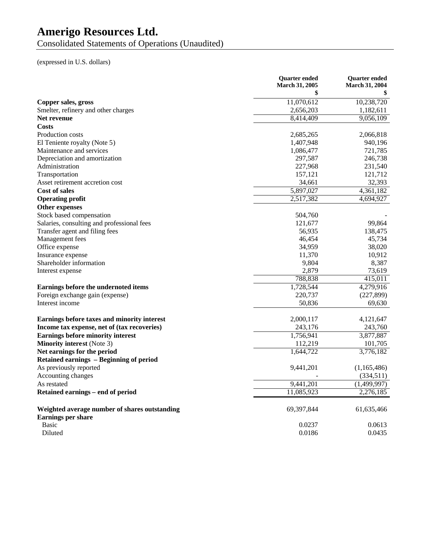Consolidated Statements of Operations (Unaudited)

(expressed in U.S. dollars)

|                                               | <b>Quarter ended</b><br>March 31, 2005 | <b>Quarter</b> ended<br><b>March 31, 2004</b> |
|-----------------------------------------------|----------------------------------------|-----------------------------------------------|
|                                               | \$                                     |                                               |
| Copper sales, gross                           | 11,070,612                             | 10,238,720                                    |
| Smelter, refinery and other charges           | 2,656,203                              | 1,182,611                                     |
| Net revenue                                   | 8,414,409                              | 9,056,109                                     |
| Costs                                         |                                        |                                               |
| Production costs                              | 2,685,265                              | 2,066,818                                     |
| El Teniente royalty (Note 5)                  | 1,407,948                              | 940,196                                       |
| Maintenance and services                      | 1,086,477                              | 721,785                                       |
| Depreciation and amortization                 | 297,587                                | 246,738                                       |
| Administration                                | 227,968                                | 231,540                                       |
| Transportation                                | 157,121                                | 121,712                                       |
| Asset retirement accretion cost               | 34,661                                 | 32,393                                        |
| <b>Cost of sales</b>                          | 5,897,027                              | 4,361,182                                     |
| <b>Operating profit</b>                       | 2,517,382                              | 4,694,927                                     |
| Other expenses                                |                                        |                                               |
| Stock based compensation                      | 504,760                                |                                               |
| Salaries, consulting and professional fees    | 121,677                                | 99,864                                        |
| Transfer agent and filing fees                | 56,935                                 | 138,475                                       |
| Management fees                               | 46,454                                 | 45,734                                        |
| Office expense                                | 34,959                                 | 38,020                                        |
| Insurance expense                             | 11,370                                 | 10,912                                        |
| Shareholder information                       | 9,804                                  | 8,387                                         |
| Interest expense                              | 2,879                                  | 73,619                                        |
|                                               | 788,838                                | 415,011                                       |
| Earnings before the undernoted items          | 1,728,544                              | 4,279,916                                     |
| Foreign exchange gain (expense)               | 220,737                                | (227, 899)                                    |
| Interest income                               | 50,836                                 | 69,630                                        |
| Earnings before taxes and minority interest   | 2,000,117                              | 4,121,647                                     |
| Income tax expense, net of (tax recoveries)   | 243,176                                | 243,760                                       |
| <b>Earnings before minority interest</b>      | 1,756,941                              | 3,877,887                                     |
| <b>Minority interest</b> (Note 3)             | 112,219                                | 101,705                                       |
| Net earnings for the period                   | 1,644,722                              | 3,776,182                                     |
| Retained earnings - Beginning of period       |                                        |                                               |
| As previously reported                        | 9,441,201                              | (1,165,486)                                   |
| Accounting changes                            |                                        | (334, 511)                                    |
| As restated                                   | 9,441,201                              | (1,499,997)                                   |
| Retained earnings - end of period             | 11,085,923                             | 2,276,185                                     |
| Weighted average number of shares outstanding | 69,397,844                             | 61,635,466                                    |
| <b>Earnings per share</b>                     |                                        |                                               |
| <b>Basic</b>                                  | 0.0237                                 | 0.0613                                        |
| Diluted                                       | 0.0186                                 | 0.0435                                        |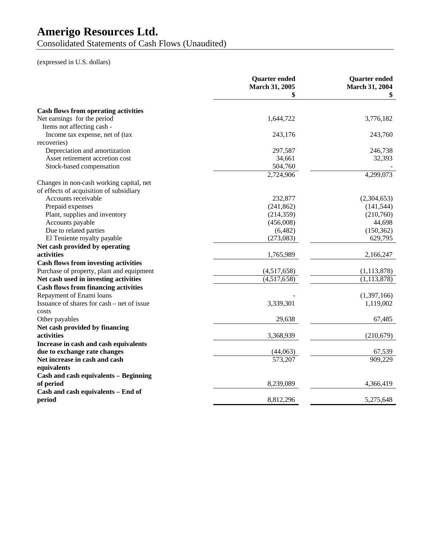Consolidated Statements of Cash Flows (Unaudited)

(expressed in U.S. dollars)

|                                              | <b>Quarter</b> ended<br>March 31, 2005 | <b>Quarter ended</b><br>March 31, 2004 |
|----------------------------------------------|----------------------------------------|----------------------------------------|
|                                              | \$                                     |                                        |
| <b>Cash flows from operating activities</b>  |                                        |                                        |
| Net earnings for the period                  | 1,644,722                              | 3,776,182                              |
| Items not affecting cash -                   |                                        |                                        |
| Income tax expense, net of (tax              | 243,176                                | 243,760                                |
| recoveries)                                  |                                        |                                        |
| Depreciation and amortization                | 297,587                                | 246,738                                |
| Asset retirement accretion cost              | 34,661                                 | 32,393                                 |
| Stock-based compensation                     | 504,760                                |                                        |
|                                              | 2,724,906                              | 4,299,073                              |
| Changes in non-cash working capital, net     |                                        |                                        |
| of effects of acquisition of subsidiary      |                                        |                                        |
| Accounts receivable                          | 232,877                                | (2,304,653)                            |
| Prepaid expenses                             | (241, 862)                             | (141, 544)                             |
| Plant, supplies and inventory                | (214, 359)                             | (210,760)                              |
| Accounts payable                             | (456,008)                              | 44,698                                 |
| Due to related parties                       | (6,482)                                | (150, 362)                             |
| El Teniente royalty payable                  | (273,083)                              | 629,795                                |
| Net cash provided by operating               |                                        |                                        |
| activities                                   | 1,765,989                              | 2,166,247                              |
| <b>Cash flows from investing activities</b>  |                                        |                                        |
| Purchase of property, plant and equipment    | (4,517,658)                            | (1, 113, 878)                          |
| Net cash used in investing activities        | $\overline{(4,517,658)}$               | (1, 113, 878)                          |
| <b>Cash flows from financing activities</b>  |                                        |                                        |
| Repayment of Enami loans                     |                                        | (1,397,166)                            |
| Issuance of shares for cash – net of issue   | 3,339,301                              | 1,119,002                              |
| costs                                        |                                        |                                        |
| Other payables                               | 29,638                                 | 67,485                                 |
| Net cash provided by financing               |                                        |                                        |
| activities                                   | 3,368,939                              | (210, 679)                             |
| Increase in cash and cash equivalents        |                                        |                                        |
| due to exchange rate changes                 | (44,063)                               | 67,539                                 |
| Net increase in cash and cash                | 573,207                                | 909,229                                |
| equivalents                                  |                                        |                                        |
| <b>Cash and cash equivalents - Beginning</b> |                                        |                                        |
| of period                                    | 8,239,089                              | 4,366,419                              |
| Cash and cash equivalents - End of           |                                        |                                        |
| period                                       | 8,812,296                              | 5,275,648                              |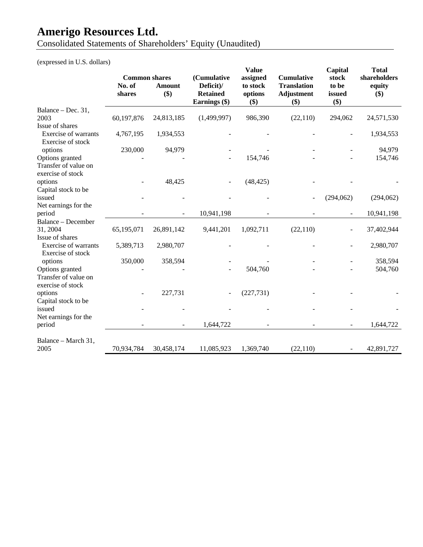Consolidated Statements of Shareholders' Equity (Unaudited)

(expressed in U.S. dollars)

| <b>Common shares</b><br>Deficit)/<br>No. of<br><b>Translation</b><br>to be<br>to stock<br>equity<br><b>Amount</b><br>\$)<br><b>Retained</b><br>options<br>Adjustment<br>\$)<br>shares<br>issued<br>\$)<br>Earnings (\$)<br>\$)<br>\$)<br>Balance - Dec. 31,<br>60,197,876<br>24,813,185<br>(1,499,997)<br>986,390<br>24,571,530<br>2003<br>(22,110)<br>294,062<br>Issue of shares<br><b>Exercise of warrants</b><br>1,934,553<br>4,767,195<br>1,934,553<br>Exercise of stock<br>230,000<br>94,979<br>94,979<br>options<br>Options granted<br>154,746<br>154,746<br>Transfer of value on<br>exercise of stock<br>(48, 425)<br>options<br>48,425<br>÷,<br>Capital stock to be<br>issued<br>(294,062)<br>(294,062)<br>Net earnings for the<br>period<br>10,941,198<br>10,941,198<br>Balance - December<br>31, 2004<br>65,195,071<br>26,891,142<br>9,441,201<br>1,092,711<br>(22, 110)<br>37,402,944<br>Issue of shares<br><b>Exercise of warrants</b><br>5,389,713<br>2,980,707<br>2,980,707<br>Exercise of stock<br>350,000<br>358,594<br>358,594<br>options<br>Options granted<br>504,760<br>504,760<br>Transfer of value on<br>exercise of stock<br>options<br>227,731<br>(227, 731)<br>Capital stock to be<br>issued<br>Net earnings for the<br>1,644,722<br>period<br>1,644,722<br>Balance - March 31,<br>2005<br>70,934,784<br>30,458,174<br>11,085,923<br>1,369,740<br>(22, 110)<br>42,891,727<br>$\blacksquare$ |  | (Cumulative | <b>Value</b><br>assigned | <b>Cumulative</b> | Capital<br>stock | <b>Total</b><br>shareholders |
|----------------------------------------------------------------------------------------------------------------------------------------------------------------------------------------------------------------------------------------------------------------------------------------------------------------------------------------------------------------------------------------------------------------------------------------------------------------------------------------------------------------------------------------------------------------------------------------------------------------------------------------------------------------------------------------------------------------------------------------------------------------------------------------------------------------------------------------------------------------------------------------------------------------------------------------------------------------------------------------------------------------------------------------------------------------------------------------------------------------------------------------------------------------------------------------------------------------------------------------------------------------------------------------------------------------------------------------------------------------------------------------------------------------------|--|-------------|--------------------------|-------------------|------------------|------------------------------|
|                                                                                                                                                                                                                                                                                                                                                                                                                                                                                                                                                                                                                                                                                                                                                                                                                                                                                                                                                                                                                                                                                                                                                                                                                                                                                                                                                                                                                      |  |             |                          |                   |                  |                              |
|                                                                                                                                                                                                                                                                                                                                                                                                                                                                                                                                                                                                                                                                                                                                                                                                                                                                                                                                                                                                                                                                                                                                                                                                                                                                                                                                                                                                                      |  |             |                          |                   |                  |                              |
|                                                                                                                                                                                                                                                                                                                                                                                                                                                                                                                                                                                                                                                                                                                                                                                                                                                                                                                                                                                                                                                                                                                                                                                                                                                                                                                                                                                                                      |  |             |                          |                   |                  |                              |
|                                                                                                                                                                                                                                                                                                                                                                                                                                                                                                                                                                                                                                                                                                                                                                                                                                                                                                                                                                                                                                                                                                                                                                                                                                                                                                                                                                                                                      |  |             |                          |                   |                  |                              |
|                                                                                                                                                                                                                                                                                                                                                                                                                                                                                                                                                                                                                                                                                                                                                                                                                                                                                                                                                                                                                                                                                                                                                                                                                                                                                                                                                                                                                      |  |             |                          |                   |                  |                              |
|                                                                                                                                                                                                                                                                                                                                                                                                                                                                                                                                                                                                                                                                                                                                                                                                                                                                                                                                                                                                                                                                                                                                                                                                                                                                                                                                                                                                                      |  |             |                          |                   |                  |                              |
|                                                                                                                                                                                                                                                                                                                                                                                                                                                                                                                                                                                                                                                                                                                                                                                                                                                                                                                                                                                                                                                                                                                                                                                                                                                                                                                                                                                                                      |  |             |                          |                   |                  |                              |
|                                                                                                                                                                                                                                                                                                                                                                                                                                                                                                                                                                                                                                                                                                                                                                                                                                                                                                                                                                                                                                                                                                                                                                                                                                                                                                                                                                                                                      |  |             |                          |                   |                  |                              |
|                                                                                                                                                                                                                                                                                                                                                                                                                                                                                                                                                                                                                                                                                                                                                                                                                                                                                                                                                                                                                                                                                                                                                                                                                                                                                                                                                                                                                      |  |             |                          |                   |                  |                              |
|                                                                                                                                                                                                                                                                                                                                                                                                                                                                                                                                                                                                                                                                                                                                                                                                                                                                                                                                                                                                                                                                                                                                                                                                                                                                                                                                                                                                                      |  |             |                          |                   |                  |                              |
|                                                                                                                                                                                                                                                                                                                                                                                                                                                                                                                                                                                                                                                                                                                                                                                                                                                                                                                                                                                                                                                                                                                                                                                                                                                                                                                                                                                                                      |  |             |                          |                   |                  |                              |
|                                                                                                                                                                                                                                                                                                                                                                                                                                                                                                                                                                                                                                                                                                                                                                                                                                                                                                                                                                                                                                                                                                                                                                                                                                                                                                                                                                                                                      |  |             |                          |                   |                  |                              |
|                                                                                                                                                                                                                                                                                                                                                                                                                                                                                                                                                                                                                                                                                                                                                                                                                                                                                                                                                                                                                                                                                                                                                                                                                                                                                                                                                                                                                      |  |             |                          |                   |                  |                              |
|                                                                                                                                                                                                                                                                                                                                                                                                                                                                                                                                                                                                                                                                                                                                                                                                                                                                                                                                                                                                                                                                                                                                                                                                                                                                                                                                                                                                                      |  |             |                          |                   |                  |                              |
|                                                                                                                                                                                                                                                                                                                                                                                                                                                                                                                                                                                                                                                                                                                                                                                                                                                                                                                                                                                                                                                                                                                                                                                                                                                                                                                                                                                                                      |  |             |                          |                   |                  |                              |
|                                                                                                                                                                                                                                                                                                                                                                                                                                                                                                                                                                                                                                                                                                                                                                                                                                                                                                                                                                                                                                                                                                                                                                                                                                                                                                                                                                                                                      |  |             |                          |                   |                  |                              |
|                                                                                                                                                                                                                                                                                                                                                                                                                                                                                                                                                                                                                                                                                                                                                                                                                                                                                                                                                                                                                                                                                                                                                                                                                                                                                                                                                                                                                      |  |             |                          |                   |                  |                              |
|                                                                                                                                                                                                                                                                                                                                                                                                                                                                                                                                                                                                                                                                                                                                                                                                                                                                                                                                                                                                                                                                                                                                                                                                                                                                                                                                                                                                                      |  |             |                          |                   |                  |                              |
|                                                                                                                                                                                                                                                                                                                                                                                                                                                                                                                                                                                                                                                                                                                                                                                                                                                                                                                                                                                                                                                                                                                                                                                                                                                                                                                                                                                                                      |  |             |                          |                   |                  |                              |
|                                                                                                                                                                                                                                                                                                                                                                                                                                                                                                                                                                                                                                                                                                                                                                                                                                                                                                                                                                                                                                                                                                                                                                                                                                                                                                                                                                                                                      |  |             |                          |                   |                  |                              |
|                                                                                                                                                                                                                                                                                                                                                                                                                                                                                                                                                                                                                                                                                                                                                                                                                                                                                                                                                                                                                                                                                                                                                                                                                                                                                                                                                                                                                      |  |             |                          |                   |                  |                              |
|                                                                                                                                                                                                                                                                                                                                                                                                                                                                                                                                                                                                                                                                                                                                                                                                                                                                                                                                                                                                                                                                                                                                                                                                                                                                                                                                                                                                                      |  |             |                          |                   |                  |                              |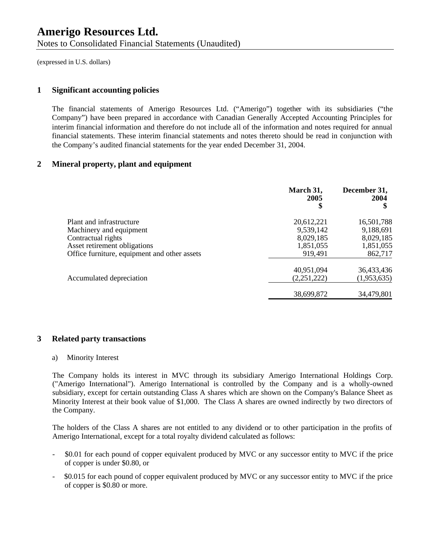Notes to Consolidated Financial Statements (Unaudited)

(expressed in U.S. dollars)

### **1 Significant accounting policies**

The financial statements of Amerigo Resources Ltd. ("Amerigo") together with its subsidiaries ("the Company") have been prepared in accordance with Canadian Generally Accepted Accounting Principles for interim financial information and therefore do not include all of the information and notes required for annual financial statements. These interim financial statements and notes thereto should be read in conjunction with the Company's audited financial statements for the year ended December 31, 2004.

### **2 Mineral property, plant and equipment**

|                                              | March 31,<br>2005<br>\$ | December 31,<br>2004 |
|----------------------------------------------|-------------------------|----------------------|
| Plant and infrastructure                     | 20,612,221              | 16,501,788           |
| Machinery and equipment                      | 9,539,142               | 9,188,691            |
| Contractual rights                           | 8,029,185               | 8,029,185            |
| Asset retirement obligations                 | 1,851,055               | 1,851,055            |
| Office furniture, equipment and other assets | 919,491                 | 862,717              |
|                                              | 40,951,094              | 36,433,436           |
| Accumulated depreciation                     | (2,251,222)             | (1,953,635)          |
|                                              | 38,699,872              | 34,479,801           |

### **3 Related party transactions**

### a) Minority Interest

The Company holds its interest in MVC through its subsidiary Amerigo International Holdings Corp. ("Amerigo International"). Amerigo International is controlled by the Company and is a wholly-owned subsidiary, except for certain outstanding Class A shares which are shown on the Company's Balance Sheet as Minority Interest at their book value of \$1,000. The Class A shares are owned indirectly by two directors of the Company.

The holders of the Class A shares are not entitled to any dividend or to other participation in the profits of Amerigo International, except for a total royalty dividend calculated as follows:

- \$0.01 for each pound of copper equivalent produced by MVC or any successor entity to MVC if the price of copper is under \$0.80, or
- \$0.015 for each pound of copper equivalent produced by MVC or any successor entity to MVC if the price of copper is \$0.80 or more.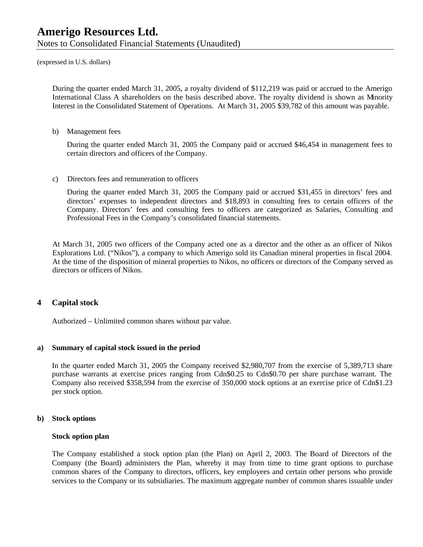Notes to Consolidated Financial Statements (Unaudited)

(expressed in U.S. dollars)

During the quarter ended March 31, 2005, a royalty dividend of \$112,219 was paid or accrued to the Amerigo International Class A shareholders on the basis described above. The royalty dividend is shown as Minority Interest in the Consolidated Statement of Operations. At March 31, 2005 \$39,782 of this amount was payable.

b) Management fees

During the quarter ended March 31, 2005 the Company paid or accrued \$46,454 in management fees to certain directors and officers of the Company.

c) Directors fees and remuneration to officers

During the quarter ended March 31, 2005 the Company paid or accrued \$31,455 in directors' fees and directors' expenses to independent directors and \$18,893 in consulting fees to certain officers of the Company. Directors' fees and consulting fees to officers are categorized as Salaries, Consulting and Professional Fees in the Company's consolidated financial statements.

At March 31, 2005 two officers of the Company acted one as a director and the other as an officer of Nikos Explorations Ltd. ("Nikos"), a company to which Amerigo sold its Canadian mineral properties in fiscal 2004. At the time of the disposition of mineral properties to Nikos, no officers or directors of the Company served as directors or officers of Nikos.

### **4 Capital stock**

Authorized – Unlimited common shares without par value.

### **a) Summary of capital stock issued in the period**

In the quarter ended March 31, 2005 the Company received \$2,980,707 from the exercise of 5,389,713 share purchase warrants at exercise prices ranging from Cdn\$0.25 to Cdn\$0.70 per share purchase warrant. The Company also received \$358,594 from the exercise of 350,000 stock options at an exercise price of Cdn\$1.23 per stock option.

### **b) Stock options**

### **Stock option plan**

The Company established a stock option plan (the Plan) on April 2, 2003. The Board of Directors of the Company (the Board) administers the Plan, whereby it may from time to time grant options to purchase common shares of the Company to directors, officers, key employees and certain other persons who provide services to the Company or its subsidiaries. The maximum aggregate number of common shares issuable under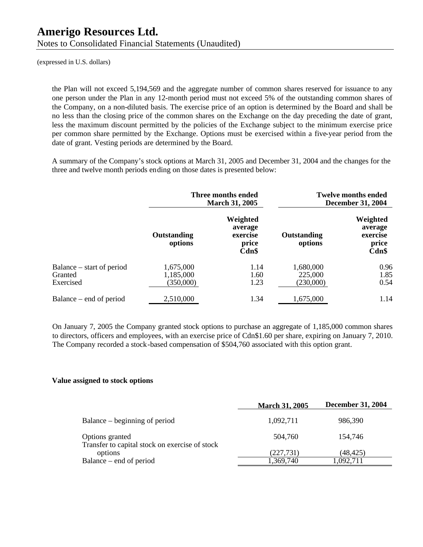Notes to Consolidated Financial Statements (Unaudited)

(expressed in U.S. dollars)

the Plan will not exceed 5,194,569 and the aggregate number of common shares reserved for issuance to any one person under the Plan in any 12-month period must not exceed 5% of the outstanding common shares of the Company, on a non-diluted basis. The exercise price of an option is determined by the Board and shall be no less than the closing price of the common shares on the Exchange on the day preceding the date of grant, less the maximum discount permitted by the policies of the Exchange subject to the minimum exercise price per common share permitted by the Exchange. Options must be exercised within a five-year period from the date of grant. Vesting periods are determined by the Board.

A summary of the Company's stock options at March 31, 2005 and December 31, 2004 and the changes for the three and twelve month periods ending on those dates is presented below:

|                                                   | Three months ended<br><b>March 31, 2005</b> |                                                      |                                   | <b>Twelve months ended</b><br><b>December 31, 2004</b> |
|---------------------------------------------------|---------------------------------------------|------------------------------------------------------|-----------------------------------|--------------------------------------------------------|
|                                                   | Outstanding<br>options                      | Weighted<br>average<br>exercise<br>price<br>$Cdn$ \$ | Outstanding<br>options            | Weighted<br>average<br>exercise<br>price<br>Cdn\$      |
| Balance – start of period<br>Granted<br>Exercised | 1,675,000<br>1,185,000<br>(350,000)         | 1.14<br>1.60<br>1.23                                 | 1,680,000<br>225,000<br>(230,000) | 0.96<br>1.85<br>0.54                                   |
| Balance – end of period                           | 2,510,000                                   | 1.34                                                 | 1,675,000                         | 1.14                                                   |

On January 7, 2005 the Company granted stock options to purchase an aggregate of 1,185,000 common shares to directors, officers and employees, with an exercise price of Cdn\$1.60 per share, expiring on January 7, 2010. The Company recorded a stock-based compensation of \$504,760 associated with this option grant.

### **Value assigned to stock options**

|                                                                   | <b>March 31, 2005</b> | <b>December 31, 2004</b> |
|-------------------------------------------------------------------|-----------------------|--------------------------|
| Balance – beginning of period                                     | 1,092,711             | 986,390                  |
| Options granted<br>Transfer to capital stock on exercise of stock | 504,760               | 154.746                  |
| options                                                           | (227, 731)            | (48,425)                 |
| Balance – end of period                                           | 1,369,740             | 1,092,711                |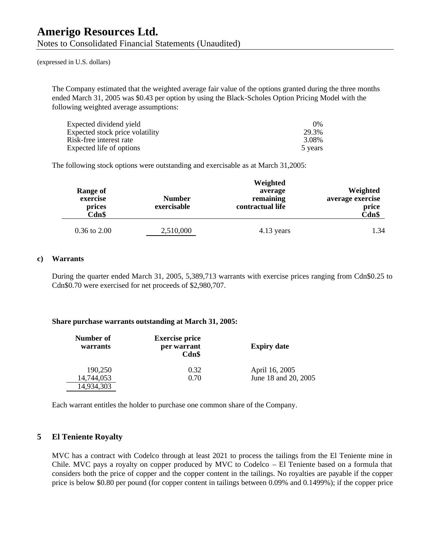Notes to Consolidated Financial Statements (Unaudited)

(expressed in U.S. dollars)

The Company estimated that the weighted average fair value of the options granted during the three months ended March 31, 2005 was \$0.43 per option by using the Black-Scholes Option Pricing Model with the following weighted average assumptions:

| Expected dividend yield         | 0%      |
|---------------------------------|---------|
| Expected stock price volatility | 29.3%   |
| Risk-free interest rate         | 3.08%   |
| Expected life of options        | 5 years |

The following stock options were outstanding and exercisable as at March 31,2005:

| Range of<br>exercise<br>prices<br>Cdn\$ | <b>Number</b><br>exercisable | Weighted<br>average<br>remaining<br>contractual life | Weighted<br>average exercise<br>price<br>Cdn\$ |
|-----------------------------------------|------------------------------|------------------------------------------------------|------------------------------------------------|
| $0.36$ to $2.00$                        | 2,510,000                    | 4.13 years                                           | 1.34                                           |

### **c) Warrants**

During the quarter ended March 31, 2005, 5,389,713 warrants with exercise prices ranging from Cdn\$0.25 to Cdn\$0.70 were exercised for net proceeds of \$2,980,707.

### **Share purchase warrants outstanding at March 31, 2005:**

| Number of<br>warrants | <b>Exercise price</b><br>per warrant<br>Cdn\$ | <b>Expiry date</b>   |
|-----------------------|-----------------------------------------------|----------------------|
| 190,250               | 0.32                                          | April 16, 2005       |
| 14,744,053            | 0.70                                          | June 18 and 20, 2005 |
| 14,934,303            |                                               |                      |

Each warrant entitles the holder to purchase one common share of the Company.

### **5 El Teniente Royalty**

MVC has a contract with Codelco through at least 2021 to process the tailings from the El Teniente mine in Chile. MVC pays a royalty on copper produced by MVC to Codelco – El Teniente based on a formula that considers both the price of copper and the copper content in the tailings. No royalties are payable if the copper price is below \$0.80 per pound (for copper content in tailings between 0.09% and 0.1499%); if the copper price